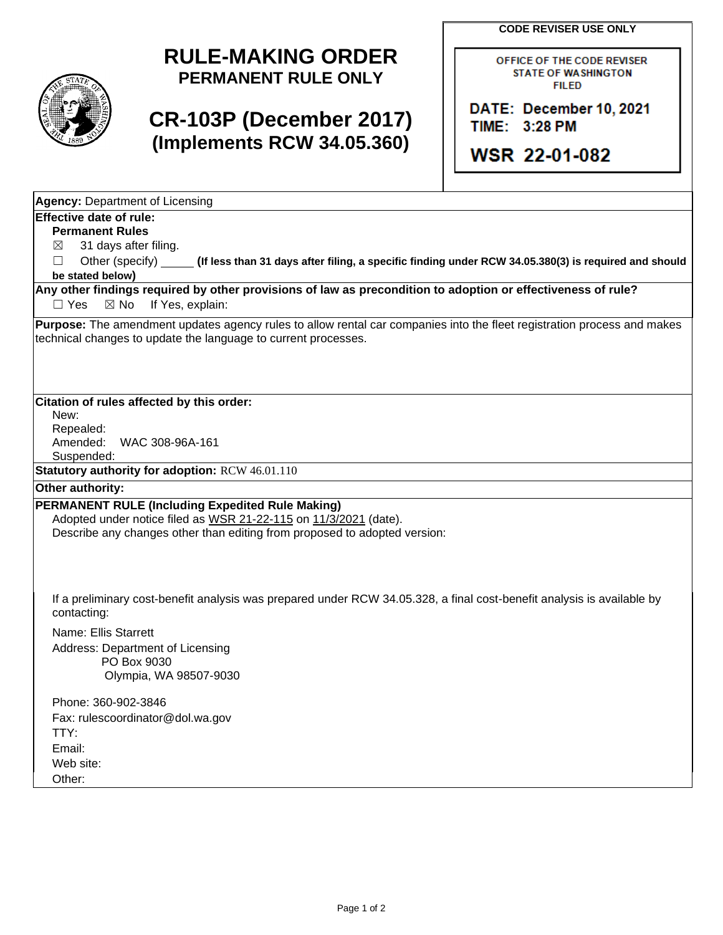**CODE REVISER USE ONLY**



## **RULE-MAKING ORDER PERMANENT RULE ONLY**

# **CR-103P (December 2017) (Implements RCW 34.05.360)**

OFFICE OF THE CODE REVISER **STATE OF WASHINGTON FILED** 

DATE: December 10, 2021 TIME: 3:28 PM

**WSR 22-01-082** 

**Agency:** Department of Licensing

## **Effective date of rule:**

**Permanent Rules**

 $\boxtimes$  31 days after filing.

☐ Other (specify) **(If less than 31 days after filing, a specific finding under RCW 34.05.380(3) is required and should be stated below)**

**Any other findings required by other provisions of law as precondition to adoption or effectiveness of rule?** □ Yes ⊠ No If Yes, explain:

**Purpose:** The amendment updates agency rules to allow rental car companies into the fleet registration process and makes technical changes to update the language to current processes.

**Citation of rules affected by this order:**

New: Repealed: Amended: WAC 308-96A-161

Suspended:

**Statutory authority for adoption:** RCW 46.01.110

#### **Other authority:**

### **PERMANENT RULE (Including Expedited Rule Making)**

Adopted under notice filed as WSR 21-22-115 on 11/3/2021 (date). Describe any changes other than editing from proposed to adopted version:

If a preliminary cost-benefit analysis was prepared under RCW 34.05.328, a final cost-benefit analysis is available by contacting:

Name: Ellis Starrett Address: Department of Licensing PO Box 9030 Olympia, WA 98507-9030

Phone: 360-902-3846 Fax: rulescoordinator@dol.wa.gov TTY: Email: Web site: Other: